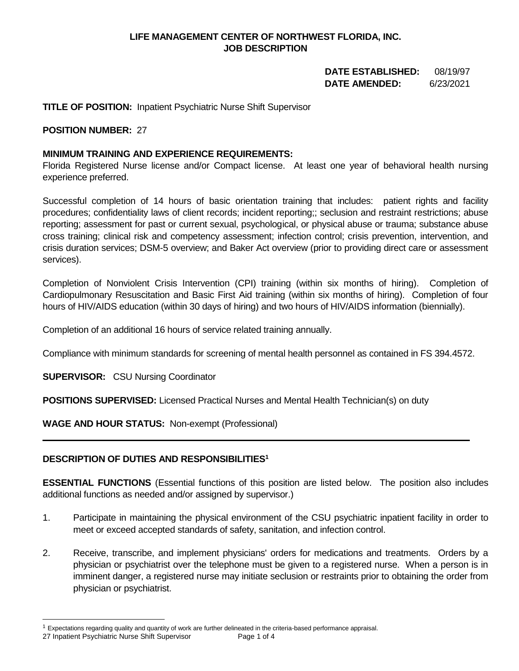# **LIFE MANAGEMENT CENTER OF NORTHWEST FLORIDA, INC. JOB DESCRIPTION**

# **DATE ESTABLISHED:** 08/19/97  **DATE AMENDED:** 6/23/2021

# **TITLE OF POSITION:** Inpatient Psychiatric Nurse Shift Supervisor

### **POSITION NUMBER:** 27

## **MINIMUM TRAINING AND EXPERIENCE REQUIREMENTS:**

Florida Registered Nurse license and/or Compact license. At least one year of behavioral health nursing experience preferred.

Successful completion of 14 hours of basic orientation training that includes: patient rights and facility procedures; confidentiality laws of client records; incident reporting;; seclusion and restraint restrictions; abuse reporting; assessment for past or current sexual, psychological, or physical abuse or trauma; substance abuse cross training; clinical risk and competency assessment; infection control; crisis prevention, intervention, and crisis duration services; DSM-5 overview; and Baker Act overview (prior to providing direct care or assessment services).

Completion of Nonviolent Crisis Intervention (CPI) training (within six months of hiring). Completion of Cardiopulmonary Resuscitation and Basic First Aid training (within six months of hiring). Completion of four hours of HIV/AIDS education (within 30 days of hiring) and two hours of HIV/AIDS information (biennially).

Completion of an additional 16 hours of service related training annually.

Compliance with minimum standards for screening of mental health personnel as contained in FS 394.4572.

**SUPERVISOR:** CSU Nursing Coordinator

**POSITIONS SUPERVISED:** Licensed Practical Nurses and Mental Health Technician(s) on duty

**WAGE AND HOUR STATUS:** Non-exempt (Professional)

#### **DESCRIPTION OF DUTIES AND RESPONSIBILITIES<sup>1</sup>**

**ESSENTIAL FUNCTIONS** (Essential functions of this position are listed below. The position also includes additional functions as needed and/or assigned by supervisor.)

- 1. Participate in maintaining the physical environment of the CSU psychiatric inpatient facility in order to meet or exceed accepted standards of safety, sanitation, and infection control.
- 2. Receive, transcribe, and implement physicians' orders for medications and treatments. Orders by a physician or psychiatrist over the telephone must be given to a registered nurse. When a person is in imminent danger, a registered nurse may initiate seclusion or restraints prior to obtaining the order from physician or psychiatrist.

 $1$  Expectations regarding quality and quantity of work are further delineated in the criteria-based performance appraisal.

<sup>27</sup> Inpatient Psychiatric Nurse Shift Supervisor Page 1 of 4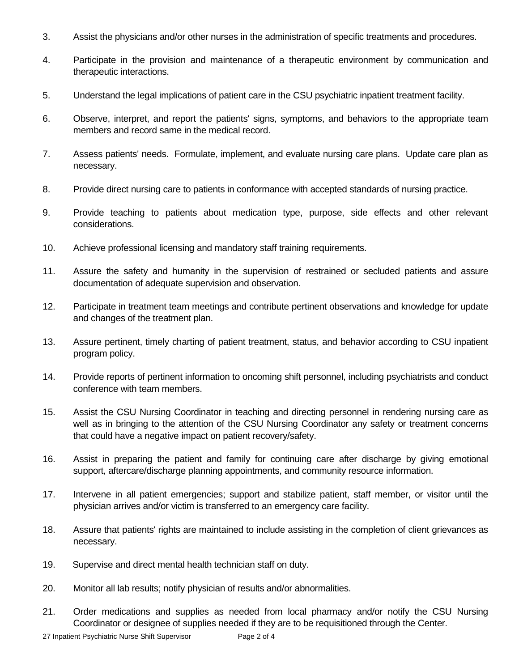- 3. Assist the physicians and/or other nurses in the administration of specific treatments and procedures.
- 4. Participate in the provision and maintenance of a therapeutic environment by communication and therapeutic interactions.
- 5. Understand the legal implications of patient care in the CSU psychiatric inpatient treatment facility.
- 6. Observe, interpret, and report the patients' signs, symptoms, and behaviors to the appropriate team members and record same in the medical record.
- 7. Assess patients' needs. Formulate, implement, and evaluate nursing care plans. Update care plan as necessary.
- 8. Provide direct nursing care to patients in conformance with accepted standards of nursing practice.
- 9. Provide teaching to patients about medication type, purpose, side effects and other relevant considerations.
- 10. Achieve professional licensing and mandatory staff training requirements.
- 11. Assure the safety and humanity in the supervision of restrained or secluded patients and assure documentation of adequate supervision and observation.
- 12. Participate in treatment team meetings and contribute pertinent observations and knowledge for update and changes of the treatment plan.
- 13. Assure pertinent, timely charting of patient treatment, status, and behavior according to CSU inpatient program policy.
- 14. Provide reports of pertinent information to oncoming shift personnel, including psychiatrists and conduct conference with team members.
- 15. Assist the CSU Nursing Coordinator in teaching and directing personnel in rendering nursing care as well as in bringing to the attention of the CSU Nursing Coordinator any safety or treatment concerns that could have a negative impact on patient recovery/safety.
- 16. Assist in preparing the patient and family for continuing care after discharge by giving emotional support, aftercare/discharge planning appointments, and community resource information.
- 17. Intervene in all patient emergencies; support and stabilize patient, staff member, or visitor until the physician arrives and/or victim is transferred to an emergency care facility.
- 18. Assure that patients' rights are maintained to include assisting in the completion of client grievances as necessary.
- 19. Supervise and direct mental health technician staff on duty.
- 20. Monitor all lab results; notify physician of results and/or abnormalities.
- 21. Order medications and supplies as needed from local pharmacy and/or notify the CSU Nursing Coordinator or designee of supplies needed if they are to be requisitioned through the Center.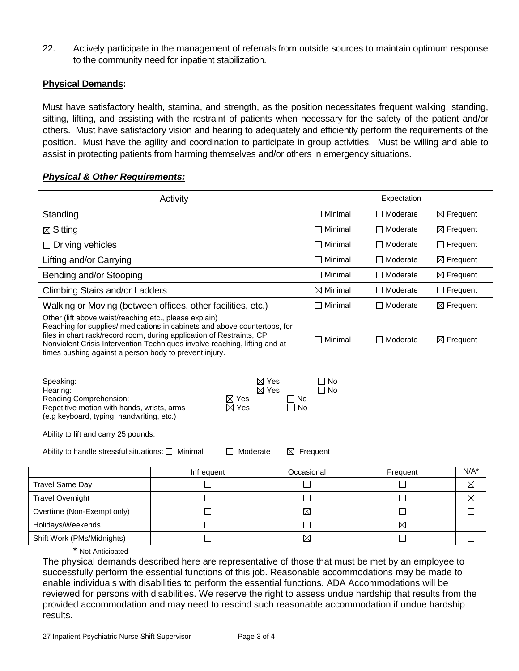22. Actively participate in the management of referrals from outside sources to maintain optimum response to the community need for inpatient stabilization.

## **Physical Demands:**

Must have satisfactory health, stamina, and strength, as the position necessitates frequent walking, standing, sitting, lifting, and assisting with the restraint of patients when necessary for the safety of the patient and/or others. Must have satisfactory vision and hearing to adequately and efficiently perform the requirements of the position. Must have the agility and coordination to participate in group activities. Must be willing and able to assist in protecting patients from harming themselves and/or others in emergency situations.

#### *Physical & Other Requirements:*

| Activity                                                                                                                                                                                                                                                                                                                                                                                        |            |             | Expectation         |                   |                      |
|-------------------------------------------------------------------------------------------------------------------------------------------------------------------------------------------------------------------------------------------------------------------------------------------------------------------------------------------------------------------------------------------------|------------|-------------|---------------------|-------------------|----------------------|
| Standing                                                                                                                                                                                                                                                                                                                                                                                        |            |             | $\Box$ Minimal      | □ Moderate        | $\boxtimes$ Frequent |
| $\boxtimes$ Sitting                                                                                                                                                                                                                                                                                                                                                                             |            |             | $\Box$ Minimal      | $\Box$ Moderate   | $\boxtimes$ Frequent |
| Driving vehicles                                                                                                                                                                                                                                                                                                                                                                                |            |             | $\Box$ Minimal      | $\Box$ Moderate   | $\Box$ Frequent      |
| Lifting and/or Carrying                                                                                                                                                                                                                                                                                                                                                                         |            |             | $\Box$ Minimal      | □ Moderate        | $\boxtimes$ Frequent |
| Bending and/or Stooping                                                                                                                                                                                                                                                                                                                                                                         |            |             | $\Box$ Minimal      | $\Box$ Moderate   | $\boxtimes$ Frequent |
| <b>Climbing Stairs and/or Ladders</b>                                                                                                                                                                                                                                                                                                                                                           |            |             | $\boxtimes$ Minimal | $\Box$ Moderate   | $\Box$ Frequent      |
| Walking or Moving (between offices, other facilities, etc.)                                                                                                                                                                                                                                                                                                                                     |            |             | $\Box$ Minimal      | $\Box$ Moderate   | $\boxtimes$ Frequent |
| Other (lift above waist/reaching etc., please explain)<br>Reaching for supplies/ medications in cabinets and above countertops, for<br>files in chart rack/record room, during application of Restraints, CPI<br>Nonviolent Crisis Intervention Techniques involve reaching, lifting and at<br>times pushing against a person body to prevent injury.                                           |            |             | $\Box$ Minimal      | <b>□</b> Moderate | $\boxtimes$ Frequent |
| $\boxtimes$ Yes<br>∩ No<br>Speaking:<br>$\boxtimes$ Yes<br>$\Box$ No<br>Hearing:<br>Reading Comprehension:<br>$\boxtimes$ Yes<br>  No<br>$\boxtimes$ Yes<br>Repetitive motion with hands, wrists, arms<br>No<br>(e.g keyboard, typing, handwriting, etc.)<br>Ability to lift and carry 25 pounds.<br>Ability to handle stressful situations: $\Box$ Minimal<br>Moderate<br>$\boxtimes$ Frequent |            |             |                     |                   |                      |
|                                                                                                                                                                                                                                                                                                                                                                                                 | Infrequent | Occasional  |                     | Frequent          | $N/A^*$              |
| <b>Travel Same Day</b>                                                                                                                                                                                                                                                                                                                                                                          | ┓          | $\Box$      |                     | П                 | $\boxtimes$          |
| <b>Travel Overnight</b>                                                                                                                                                                                                                                                                                                                                                                         | $\Box$     | □           |                     | $\Box$            | $\boxtimes$          |
| Overtime (Non-Exempt only)                                                                                                                                                                                                                                                                                                                                                                      | $\Box$     | $\boxtimes$ |                     | □                 | $\Box$               |
| Holidays/Weekends                                                                                                                                                                                                                                                                                                                                                                               | П          | $\Box$      |                     | $\boxtimes$       | П                    |
| Shift Work (PMs/Midnights)                                                                                                                                                                                                                                                                                                                                                                      | $\Box$     | $\boxtimes$ |                     | $\Box$            | $\Box$               |
| <b>Not Anticipated</b>                                                                                                                                                                                                                                                                                                                                                                          |            |             |                     |                   |                      |

The physical demands described here are representative of those that must be met by an employee to successfully perform the essential functions of this job. Reasonable accommodations may be made to enable individuals with disabilities to perform the essential functions. ADA Accommodations will be reviewed for persons with disabilities. We reserve the right to assess undue hardship that results from the provided accommodation and may need to rescind such reasonable accommodation if undue hardship results.